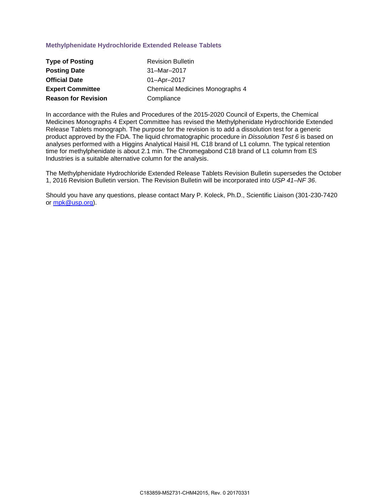## **Methylphenidate Hydrochloride Extended Release Tablets**

| <b>Type of Posting</b>     | <b>Revision Bulletin</b>        |
|----------------------------|---------------------------------|
| <b>Posting Date</b>        | 31-Mar-2017                     |
| <b>Official Date</b>       | 01-Apr-2017                     |
| <b>Expert Committee</b>    | Chemical Medicines Monographs 4 |
| <b>Reason for Revision</b> | Compliance                      |

In accordance with the Rules and Procedures of the 2015-2020 Council of Experts, the Chemical Medicines Monographs 4 Expert Committee has revised the Methylphenidate Hydrochloride Extended Release Tablets monograph. The purpose for the revision is to add a dissolution test for a generic product approved by the FDA. The liquid chromatographic procedure in *Dissolution Test 6* is based on analyses performed with a Higgins Analytical Haisil HL C18 brand of L1 column. The typical retention time for methylphenidate is about 2.1 min. The Chromegabond C18 brand of L1 column from ES Industries is a suitable alternative column for the analysis.

The Methylphenidate Hydrochloride Extended Release Tablets Revision Bulletin supersedes the October 1, 2016 Revision Bulletin version. The Revision Bulletin will be incorporated into *USP 41–NF 36*.

Should you have any questions, please contact Mary P. Koleck, Ph.D., Scientific Liaison (301-230-7420 or [mpk@usp.org\)](mailto:mpk@usp.org).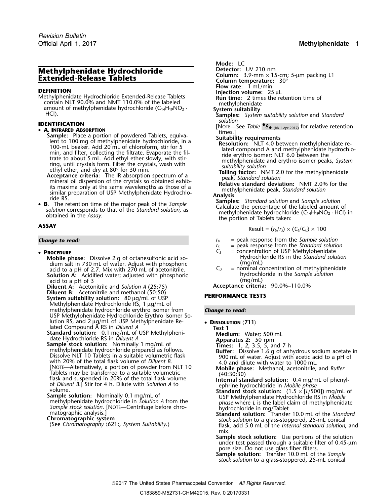# **Methylphenidate Hydrochloride<br>Extended-Release Tablets**

**FLOW FINITION**<br> **FLOW PRESS UP TO PROPER TO PROPER TABLES**<br> **Run time:** 2 times the retention time of Methylphenidate Hydrochloride Extended-Release Tablets contain NLT 90.0% and NMT 110.0% of the labeled contain NLT 90.0% and NMT 110.0% of the labeled<br>amount of methylphenidate hydrochloride (C<sub>14</sub>H<sub>19</sub>NO<sub>2</sub> · **System suitability** solution and *Standard*<br>HCl). **Samples:** *System suitability solution solution solution* 

• **A. INFRARED ABSORPTION**<br> **Sample:** Place a portion of powdered Tablets, equiva-<br>
lent to 100 mg of methylphenidate hydrochloride, in a<br>
100-mL beaker. Add 20 mL of chloroform, stir for 5<br>
min, and filter, collecting th

• PROCEDURE

**Mobile phase:** Dissolve 2 g of octanesulfonic acid so- **Hydrochloride RS** in the *Standard Standard Standard Standard solution* and *Standard Cmg/mL*) dium salt in 730 mL of water. Adjust with phosphoric  $\begin{array}{c} \text{(mg/mL)} \\ \text{acid to a pH of 2.7. Mix with 270 mL of acetonitrile.} \end{array}$   $\begin{array}{c} \text{(mg/mL)} \\ \text{C}_U \end{array}$  = nominal concentration of methylphenidate acid to a pH of 2.7. Mix with 270 mL of acetonitrile. *C<sub>U</sub>* = nominal concentration of methylphen<br> **Solution A:** Acidified water: adjusted with phosphoric **busines** hydrochloride in the *Sample solution* **Solution A:** Acidified water; adjusted with phosphoric **hydrochloride in the solution** of 3<br>acid to a pH of 3 acid to a pH of 3 (mg/mL)<br> **acid to a pH of 3** (25:75) (and Solution A (25:75) **Acceptance criteria:** 90.0%–110.0%

**Diluent A:** Acetonitrile and *Solution A* (25:75) **Acceptance criteria:** 90.0%–110.0%

**Diluent B:** Acetonitrile and methanol (50:50) **PERFORMANCE TESTS System suitability solution:**<sup>80</sup> <sup>µ</sup>g/mL of USP Methylphenidate Hydrochloride RS, 1 μg/mL of<br>methylphenidate hydrochloride erythro isomer from methylphenidate hydrochloride erythro isomer from *Change to read:* USP Methylphenidate Hydrochloride Erythro Isomer Solution RS, and 2 µg/mL of USP Methylphenidate Re-<br>lated Compound A RS in *Diluent A* **Test 1**<br>**Standard solution:** 0.1 mg/mL of USP Methylpheni-<br>date Hydrochloride RS in *Diluent A* **Apparatus 2:** 

**Standard solution:** 0.1 mg/mL of USP Methylpheni-<br>
date Hydrochloride RS in *Diluent A*<br> **Sample stock solution:** Normially 1 mg/mL of<br> **Sample stock solution:** Normially 1 mg/mL of<br>
methylphenidate hydrochloride prepare [NOTE—Alternatively, a portion of powder from NLT 10 **Mobile phase:** Methanol, acetonitrile, and *Buffer* flask and suspended in 20% of the total flask volume<br>of *Diluent B*.] Stir for 4 h. Dilute with *Solution A* to<br>volume.<br>**Sample solution:** Nominally 0.1 mg/mL of<br>**Sample solution:** Nominally 0.1 mg/mL of<br>methylphenidate h

methylphenidate hydrochloride in Solution A from the Sample stock solution. [NOTE—Centrifuge before chromatographic analysis.]<br>
matographic analysis.] **Standard solution:** Transfer 10.0 mL of the Standard **Chromatographic** 

Official April 1, 2017 **Methylphenidate** 1

Mode: LC<br>Detector: UV 210 nm

- 
- **Column:** 3.9-mm × 15-cm; 5-µm packing L1<br>**Column temperature:** 30°<br>**Flow rate:** 1 mL/min
- 

- 
- 

- 
- *solution* **IDENTIFICATION** [NOTE—See *Table •.8* (RB 1-Apr-2017) for relative retention •

• **B.** The retention time of the major peak of the *Sample*<br> **Samples:** Standard solution and *Sample solution*<br>
solution corresponds to that of the *Standard solution*, as<br>
obtained in the *Assay*.<br>
The percentage of the

ASSAY

\n
$$
\text{Result} = (r_U/r_S) \times (C_S/C_U) \times 100
$$

- **Change to read:** *r***<sub>U</sub>** = peak response from the *Sample solution r***<sub>U</sub>** = peak response from the *Sample solution* 
	- $r_s$  = peak response from the *Standard solution*<br> $C_s$  = concentration of USP Methylphenidate
		- **P** concentration of USP Methylphenidate<br>Hydrochloride RS in the Standard solution
	-

- -
	-
	-
	-
	-
	-
	-
	-
	-
- **Chromatographic system**<br>
(See *Chromatography*  $\langle 621 \rangle$ , *System Suitability*.) find the *Stock solution* to a glass-stoppered, 25-mL conical flask, add 5.0 mL of the *Internal standard solution*, and mix.
	- **Sample stock solution:** Use portions of the solution under test passed through a suitable filter of 0.45-µ<sup>m</sup> pore size. Do not use glass fiber filters.

**Sample solution:** Transfer 10.0 mL of the *Sample stock solution* to a glass-stoppered, 25-mL conical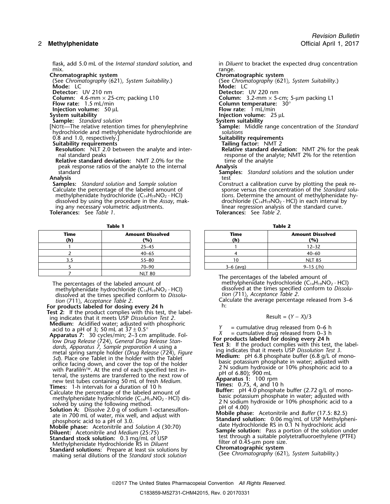### 2 **Methylphenidate** Official April 1, 2017

mix. range.

**Chromatographic system**<br>(See Chromatography (621), System Suitability.) **Chromatographic system** System Suitability.) (See *Chromatography* 〈621〉*, System Suitability*.) (See *Chromatography* 〈621〉*, System Suitability*.)

**Injection volume:** 50 µL<br>**System suitability** 

[NOTE—The relative retention times for phenylephrine **Sample:**<br>hydrochloride and methylphenidate hydrochloride are *Solutions* hydrochloride and methylphenidate hydrochloride are *solutions* 0.8 and 1.0, respectively.] **Suitability requirements**

**Resolution:** NLT 2.0 between the analyte and inter-<br>nal standard peaks

**Relative standard deviation:** NMT 2.0% for the time time of the time of the time of the analyte to the internal peak response ratios of the analyte to the internal standard

**Analysis** test

**Samples:** *Standard solution* and *Sample solution* Construct a calibration curve by plotting the peak re-<br>
Calculate the percentage of the labeled amount of sponse versus the concentration of the *Standard solu* dissolved by using the procedure in the *Assay*, making any necessary volumetric adjustments. ing any necessary volumetric adjustments. linear regression analysis of the standard curve.<br> **Tolerances:** See Table 1. **Interances:** See Table 2.

| Time<br>(h) | <b>Amount Dissolved</b><br>(%) | Time<br>(h)                             | <b>Amount Diss</b><br>(%) |
|-------------|--------------------------------|-----------------------------------------|---------------------------|
|             | $25 - 45$                      |                                         | $12 - 32$                 |
|             | $40 - 65$                      |                                         | $40 - 60$                 |
|             | $55 - 80$                      |                                         | <b>NLT 85</b>             |
|             | $70 - 90$                      | $3-6$ (avg)                             | $9-15$ (/h)               |
|             | <b>NLT 80</b>                  | $-1$<br>the contract of the contract of | .                         |

The percentages of the labeled amount of methylphenidate hydrochloride  $(C_{14}H_{19}NO_2 \cdot HC)$  methylphenidate hydrochloride (C<sub>14</sub>H<sub>19</sub>NO<sub>2</sub> · HCl) dissolved at the times specified conform to *Dissolvel* at the times specifi dissolved at the times specified conform to *Dissolu- tion* 〈711〉, *Acceptance Table 2*.

**For products labeled for dosing every 24 h** h: **Test 2:** If the product complies with this test, the label-<br>ing indicates that it meets USP *Dissolution Test 2*. Result = (*Y* − *X*)/3

**Medium:** Acidified water; adjusted with phosphoric<br>
acid to a pH of 3; 50 mL at  $37 \pm 0.5^\circ$ <br>
Apparatus 7: 30 cycles/min; 2–3 cm amplitude. Fol-<br>
low *Drug Release (724)*, *General Drug Release Stan-*<br>
dards, *Apparatus* metal spring sample holder (Drug Release  $(724)$ , Figure<br>
3. Place one Tablet in the holder with the Tablet<br>
orifice facing down, and cover the top of the holder<br>
with Parafilm<sup>TM</sup> At the end of each specified test in-<br>
w with Parafilm<sup>TM</sup>. At the end of each specified test in-<br>terval, the systems are transferred to the next row of  $pH$  of 6.80); 900 mL<br>new test tubes containing 50 mL of fresh *Medium*. **Apparatus** 1: 100 rpm new test tubes containing 50 mL of fresh *Medium*.<br>**Times:** 1-h intervals for a duration of 10 h **1.100 Filmes:** 1.4, and 10 h **1.100 pm** 

- **Thes:** 1-h intervals for a duration of 10 h<br>Calculate the percentage of the labeled amount of **Buffer:** pH 4.0 phosphate buffer (2.72 g/L of mono-<br>methylphenidate hydrochloride (C<sub>14</sub>H<sub>19</sub>NO<sub>2</sub> · HCl) dis-<br>2. N. calium bu
- Example in the following method. Solution A: Dissolve 2.0 g of sodium 1-octanesulfon-<br>
Solution A: Dissolve 2.0 g of sodium 1-octanesulfon-<br>
ate in 700 mL of water, mix well, and adjust with<br>
phosphoric acid to a pH of 3.0

Methylphenidate Hydrochloride RS in filter of 0.45-µm pore size. *Diluent*

**Standard solutions:** Prepare at least six solutions by **Chromatographic system** making serial dilutions of the *Standard stock solution* (See *Chromatography*  $\langle 621 \rangle$ *, System Suitability*.) *Standard stock solution* 

flask, add 5.0 mL of the *Internal standard solution*, and in *Diluent* to bracket the expected drug concentration mix.

**Mode:** LC **Mode:** LC

**Detector:** UV 210 nm **Detector:** UV 220 nm

**Column:** 4.6-mm × 25-cm; packing L10 **Column:** 3.2-mm × 5-cm; 5-µm packing L1 **Flow rate:** 1.5 mL/min **column 1.5 mL/min** 

**Flow rate:** 1 mL/min **Flow rate:** 1 mL/min

**Injection volume:** 25 µL<br>**System suitability** 

**Sample:** *Standard solution*<br>NOTE—The relative retention times for phenylephrine **Sample:** Middle range concentration of the Standard

**Suitability requirements**<br>**Resolution:** NLT 2.0 between the analyte and inter-<br>**Resolution:** NMT 2% for the peak response of the analyte; NMT 2% for the retention<br>time of the analyte

standard **Samples:** *Standard solutions* and the solution under

Calculate the percentage of the labeled amount of sponse versus the concentration of the *Standard solumethylphenidate hydrochloride* ( $C_{14}H_{19}NO_2 \cdot HCl$ ) *tions.* Determine the amount of methylphenidate hytions. Determine the amount of methylphenidate hydrochloride (C<sub>14</sub>H<sub>19</sub>NO<sub>2</sub> · HCl) in each interval by **Tolerances:** See *Table 1*. **Tolerances:** See *Table 2*.

**Table 1 Table 2**

| Time<br>(h) | <b>Amount Dissolved</b><br>(%) | Time<br>(h) | <b>Amount Dissolved</b><br>(%) |
|-------------|--------------------------------|-------------|--------------------------------|
|             | $25 - 45$                      |             | $12 - 32$                      |
|             | $40 - 65$                      |             | $40 - 60$                      |
| 3.5         | $55 - 80$                      |             | <b>NLT 85</b>                  |
|             | $70 - 90$                      | $3-6$ (avg) | $9-15$ (/h)                    |

The percentages of the labeled amount of dissolved at the times specified conform to *Dissolution* (711), *Acceptance Table 2*.

*tion* 〈711〉, *Acceptance Table 2*. Calculate the average percentage released from 3–6

Fraction of the solution index<br>
Diluent: Acetonitrile and *Medium* (25:75)<br> **Sample solution:** Pass a portion of the solution under<br> **Sample solution:** Pass a portion of the solution under<br>
test through a suitable polytet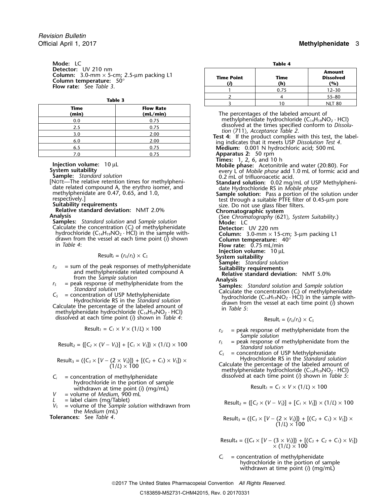**Mode:** LC **Table 4**<br> **Detector:** UV 210 nm Column:  $3.0$ -mm  $\times$  5-cm;  $2.5$ -µm packing L1<br>Column temperature:  $50^{\circ}$ <br>Flow rate: See *Table 3*.

| Time<br>(min) | <b>Flow Rate</b><br>(mL/min) |
|---------------|------------------------------|
| 0.0           | 0.75                         |
| 2.5           | 0.75                         |
| 3.0           | 2.00                         |
| 6.0           | 2.00                         |
| 6.5           | 0.75                         |
| 7 በ           | በ 75                         |

**Sample:** *Standard solution*<br>[NOTE—The relative retention times for methylpheni-<br>**Standard solution:** 0.02 ma/

- 
- Calculate the concentration  $(C_i)$  of methylphenidate<br>hydrochloride  $(C_{14}H_{19}NO_2 \cdot HCl)$  in the sample with-Calculate the concentration (C<sub>i</sub>) of methylphenidate<br>
hydrochloride (C<sub>14</sub>H<sub>19</sub>NO<sub>2</sub> · HCl) in the sample with-<br>
drawn from the vessel at each time point (i) shown<br>
in Table 4:<br> **Column temperature:** 40°<br> **Column tempera**

- 
- 
- dissolved at each time point (*i*) shown in *Table 4*:

$$
Result_1 = C_1 \times V \times (1/L) \times 100
$$

$$
Result_2 = \{ [C_2 \times (V - V_s)] + [C_1 \times V_s] \} \times (1/L) \times 100
$$

$$
Result_3 = (\{C_3 \times [V - (2 \times V_3)]\} + [(C_2 + C_1) \times V_3]) \times (1/L) \times 100
$$

- hydrochloride in the portion of sample withdrawn at time point (*i*) (mg/mL)
- *V* = volume of *Medium*, 900 mL<br>*L* = label claim (mg/Tablet)
- 
- the *Medium* (mL)

 $T$ olerances: See *Table 4*.

| m<br>5-cm; 2.5-µm packing L1<br>e: $50^\circ$ | <b>Time Point</b> | Time<br>(h) | <b>Amount</b><br><b>Dissolved</b><br>(%) |  |
|-----------------------------------------------|-------------------|-------------|------------------------------------------|--|
| 23.                                           |                   | 0.75        | $12 - 30$                                |  |
|                                               |                   |             | $55 - 80$                                |  |
| Table 3                                       |                   | 10          | <b>NLT 80</b>                            |  |

**(min) (mL/min)** The percentages of the labeled amount of methylphenidate hydrochloride ( $C_{14}H_{19}NO_2 \cdot HCl$ ) dissolved at the times specified conform to *Dissolu*tion (711), Acceptance Table 2.<br>Test 4: If the product complies with this test, the label-<br>ing indicates that it meets USP Dissolution Test 4. Medium: 0.001 N hydrochloric acid; 500 mL **Apparatus 2:** 50 rpm<br>**Times:** 1, 2, 6, and 10 h **The Injection volume:** 10 µL **Injection volume:** 10 µL **System suitability** every L of *Mobile phase*: Acetonitrile and water (20:80). For every L of *Mobile phase* add 1.0 mL of formic acid and **Sample:** Standard solutio NOTE—The relative retention times for methylpheni-<br>date related compound A, the erythro isomer, and<br>methylphenidate are 0.47, 0.65, and 1.0,<br>respectively.]<br>methylphenidate are 0.47, 0.65, and 1.0,<br>respectively.]<br>sample sol methylphenidate are 0.47, 0.65, and 1.0,<br>
respectively.]<br>
Sample solution: Pass a portion of the solution under<br>
respectively.]<br>
Suitability requirements<br>
Relative standard deviation: NMT 2.0%<br>
Analysis<br>
Samples: Standard **Injection volume:**  $10 \mu L$ <br>Result<sub>i</sub> = ( $r_U/r_S$ ) × C<sub>S</sub> **System suitability Sample:** *Standard solution*  $r_0$  = sum of the peak responses of methylphenidate<br>and methylphenidate related compound A<br>from the *Sample solution*<br> $r_5$  = peak response of methylphenidate from the<br>standard solution<br> $C_5$  = concentration of USP Methy

$$
Result_i = (r_U/r_S) \times C_S
$$

- $r_U$  = peak response of methylphenidate from the *Sample solution*
- *r*<sub>*S*</sub> = peak response of methylphenidate from the Standard solution

 $C<sub>S</sub>$  = concentration of USP Methylphenidate<br>Hydrochloride RS in the Standard solution

Calculate the percentage of the labeled amount of<br>methylphenidate hydrochloride  $(C_{14}H_{19}NO_2 \cdot HCl)$ *C*<sub>i</sub> = concentration of methylphenidate dissolved at each time point (*i*) shown in *Table 5*:

$$
Result_1 = C_1 \times V \times (1/L) \times 100
$$

 $V_s$  = label claim (mg/1ablet)<br>  $V_s$  = volume of the Sample solution withdrawn from Result<sub>2</sub> = {[C<sub>2</sub> × (V – V<sub>S</sub>)] + [C<sub>1</sub> × V<sub>S</sub>]} × (1/L) × 100

Result<sub>3</sub> = (
$$
\{C_3 \times [V - (2 \times V_3)]\} + [(C_2 + C_1) \times V_3]) \times (1/L) \times 100
$$

Result<sup>4</sup> = ({*C<sup>4</sup>* <sup>×</sup> [*V* <sup>−</sup> (3 <sup>×</sup> *VS*)]} + [(*C3*<sup>+</sup>*C2*<sup>+</sup>*C1*) <sup>×</sup> *VS*]) <sup>×</sup> (1/*L*) × 100

 $C_i$  = concentration of methylphenidate hydrochloride in the portion of sample withdrawn at time point (*i*) (mg/mL)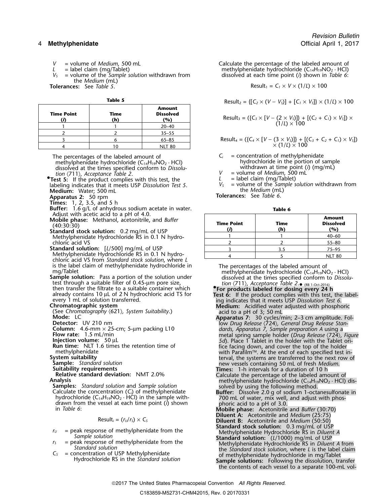- 
- 
- the *Medium* (mL)

**Tolerances:** See *Table 5*.

| <b>Time Point</b> | Time<br>(h) | Amount<br><b>Dissolved</b><br>(%) | Result <sub>3</sub> = $({C_3} \times [V - (2 \times V_5)])$ + $[(C_2 + C_1) \times V_5]) \times$<br>(1/L) × 100 |
|-------------------|-------------|-----------------------------------|-----------------------------------------------------------------------------------------------------------------|
|                   |             | 20–40                             |                                                                                                                 |
|                   |             | $35 - 55$                         |                                                                                                                 |
|                   |             | 65–85                             | Result <sub>4</sub> = $({C_4} \times [V - (3 \times V_5)])$ + $[(C_3 + C_2 + C_1) \times V_5]$                  |
|                   |             | <b>NLT 80</b>                     | $\times$ (1/L) $\times$ 100                                                                                     |

The percentages of the labeled amount of  $C_i$  = concentration of methylphenidate<br>methylphenidate hydrochloride (C<sub>14</sub>H<sub>19</sub>NO<sub>2</sub> · HCl) hydrochloride in the portion of sample methylphenidate hydrochloride (C<sub>14</sub>H<sub>19</sub>NO<sub>2</sub> · HCl) hydrochloride in the portion of samp<br>dissolved at the times specified conform to *Dissolu*<br>*V* = volume of *Medium*, 500 mL<br>min (711). Acceptance Table 2. dissolved at the times specified conform to *Dissolu-*<br>*tion* (711) *Accentance Table 2* 

- *tion* (711), *Acceptance Table 2*. *V* = volume of *Medium*, 500 mL **• • Frest 5:** If the product complies with this test, the *L* in a label claim (mg/Tablet) labeling indicates that it meets USP *Dissolution Test 5*. *<sup>V</sup><sup>S</sup>* = volume of the *Sample solution* withdrawn from **Medium:** the *Medium* (mL) Water; 500 mL
- **Apparatus 2:** 50 rpm **biased by Equation 2: See Table 6.** 50 **Tolerances:** See Table 6.
- **Times:** 1, 2, 3.5, and 5 h
- **Buffer:** 1.6 g/L of anhydrous sodium acetate in water. **Table 6** Adjust with acetic acid to a pH of 4.0.
- Mobile phase: Methanol, acetonitrile, and Buffer (40:30:30)<br>Standard stock solution: 0.2 mg/mL of USP
- Methylphenidate Hydrochloride RS in 0.1 N hydrochloric acid VS
- **Standard solution:** [*L*/500] mg/mL of USP 3.5 2.5 3.5 75–95 Methylphenidate Hydrochloride RS in 0.1 N hydro-  $\begin{array}{|l|l|}\n\hline\n\end{array}$  4  $\begin{array}{|l|l|}\n\hline\n\end{array}$  5  $\begin{array}{|l|l|}\n\hline\n\end{array}$  NLT 80 chloric acid VS from *Standard stock solution, w*here *L*
- test through a suitable filter of 0.45-µm pore size, then transfer the filtrate to a suitable container which **•For products labeled for dosing every 24 h**<br>already contains 10 µL of 2 N hydrochloric acid TS for<br>**For products labeled for dosing every 24 h**<br>ing indicates that it meets USP Dissolution Test 6.<br>Ing indicates that it mee

**Relative standard deviation:** NMT 2.0% Calculate the percentage of the labeled amount of<br> **Analysis**<br> **Samples:** *Standard solution* and *Sample solution*<br>
Calculate the concentration (C<sub>i</sub>) of methylphenidate<br>
Calculate

$$
Result_i = (r_U/r_S) \times C_S
$$

- 
- 
- 

*V* = volume of *Medium*, 500 mL Calculate the percentage of the labeled amount of  $L =$  label claim (mg/Tablet) **Calculate Server Calculate in the methylphenidate hydrochloride (C<sub>14</sub>H<sub>19</sub>NO<sub>2</sub> · HCl)** *L* = label claim (mg/Tablet)<br>  $V_s$  = volume of the *Sample solution* withdrawn from dissolved at each time point (*i*) shown in Table 6: *dissolved at each time point (<i>i*) shown in *Table 6*:

$$
Result_1 = C_1 \times V \times (1/L) \times 100
$$

**Table 5** 
$$
Result_2 = \{ [C_2 \times (V - V_5)] + [C_1 \times V_5] \} \times (1/L) \times 100
$$

Result<sub>3</sub> = (
$$
\{C_3 \times [V - (2 \times V_3)]\} + [(C_2 + C_1) \times V_3] \times (1/L) \times 100
$$

<sup>3</sup> <sup>6</sup> 65–85 Result<sup>4</sup> = ({*C<sup>4</sup>* <sup>×</sup> [*V* <sup>−</sup> (3 <sup>×</sup> *VS*)]} + [(*C3*<sup>+</sup>*C2*<sup>+</sup>*C1*) <sup>×</sup> *VS*])

- 
- 

| <b>Time Point</b> | Time<br>(h | <b>Amount</b><br><b>Dissolved</b><br>'%) |
|-------------------|------------|------------------------------------------|
|                   |            | $40 - 60$                                |
|                   |            | $55 - 80$                                |
|                   | 3 ና        | $75 - 95$                                |
|                   |            |                                          |

is the label claim of methylphenidate hydrochloride in The percentages of the labeled amount of mg/Tablet<br>mg/Tablet mg/Tablet methylphenidate hydrochloride (C<sub>14</sub>H<sub>19</sub>NO<sub>2</sub> · HCl)<br>**Sample solution:** Pass a portion of the • (RB 1-Oct-2016)

Contratographic system Suitability.) Medium: Acidified water adjusted with phosphoric<br>
Mode: LC (Sec Chromatography (621), System Suitability.) acid to a pH of 3; So mL<br>
Submar: A.6-mm x 25-cm; 5-µm packing L10<br>
Now Drug

- 
- 
- 

**Mobile phase:** Acetonitrile and *Buffer* (30:70) Diluent A: Acetonitrile and *Medium* (25:75) Diluent B: Acetonitrile and *Medium* (50:50)

- 
- 
- 
- $r_U$  = peak response of methylphenidate from the<br>
standard stock solution: 0.3 mg/mL of USP<br>
standard stock solution: 0.3 mg/mL of USP<br>
standard solution: (L/1000) mg/mL of USP<br>
standard solution: (L/1000) mg/mL of USP<br>
S

### 2017 The United States Pharmacopeial Convention *All Rights Reserved.*

the contents of each vessel to a separate 100-mL vol-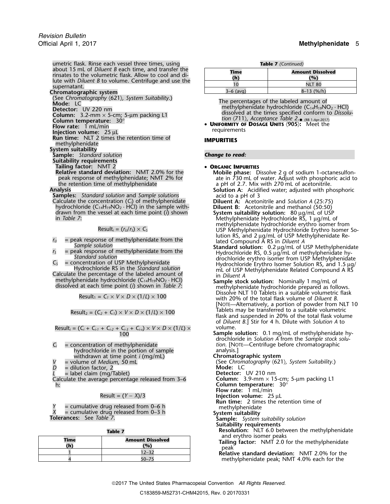**Chromatographic system** 

(See *Chromatography* 〈621〉*, System Suitability*.)

**Run time:** NLT 2 times the retention time of **IMPURITIES**<br>methylphenidate

**System suitability**

**Sample:** *Standard solution Change to read:*

- **Suitability requirements**
- 

**Tailing factor:** NMT 2<br>**Relative standard deviation:** NMT 2.0% for the **COMobile phase:** D

hydrochloride (C14H19NO<sup>2</sup> · HCl) in the sample with- **Diluent B:** Acetonitrile and methanol (50:50) Calculate the concentration (C<sub>i</sub>) of methylphenidate<br>
hydrochloride (C<sub>14</sub>H<sub>19</sub>NO<sub>2</sub> · HCl) in the sample with-<br>
drawn from the vessel at each time point (*i*) shown<br>
in *Table 7*: Methylphenidate Hydrochloride RS, 1 µg/

$$
Result_i = (r_U/r_S) \times C_S
$$

$$
Result_1 = C_1 \times V \times D \times (1/L) \times 100
$$

$$
Result_2 = (C_2 + C_1) \times V \times D \times (1/L) \times 100
$$

Result<sub>i</sub> = 
$$
(C_i + C_{i\cdot 1} + C_{i\cdot 2} + C_{i\cdot 3} + C_{i\cdot x}) \times V \times D \times (1/L) \times
$$
 volume.  
Sample:

- hydrochloride in the portion of sample analysis.]<br>withdrawn at time point *i* (mg/mL) **analysis Chromatographic system** withdrawn at time point *i* (mg/mL) = volume of *Medium*, 50 mL
- 
- 
- $=$  label claim (mg/Tablet)

*D* = dilution factor, 2<br> *L* = label claim (mg/Tablet)<br>
Calculate the average percentage released from 3–6 **Detector:** UV 210 nm Calculate the average percentage released from 3-6 h: **Column temperature:** 30°

$$
Result = (Y - X)/3
$$

*Y* = cumulative drug released from 0–6 h methylphenidate<br> *X* = cumulative drug released from 0–3 h **System suitability System suitability** solution<br> **Tolerances:** See *Table 7*. **Sample:** *System suitability solution* 

| iabl |  |
|------|--|
|      |  |

| Time<br>(h) | <b>Amount Dissolved</b><br>(°) |  |
|-------------|--------------------------------|--|
|             | $12 - 32$                      |  |
|             |                                |  |

| <b>Table 7</b> (Continued) |
|----------------------------|

| Time<br>(h) | <b>Amount Dissolved</b><br>(%) |  |
|-------------|--------------------------------|--|
| 10          | <b>NLT 80</b>                  |  |
| $3-6$ (avg) | $8-13$ (%/h)                   |  |

Node: LC<br>
Node: LC<br>
Detector: UV 220 nm<br>
Column: 3.2-mm × 5-cm; 5-µm packing L1<br>
Column temperature: 30°<br>
Column temperature: 30°<br>
Let the specified conform to Dissolu-<br>
Column temperature: 30° **Column temperature:**  $30^{\circ}$ <br>**Column temperature:**  $30^{\circ}$ 

**FIGURER III CONTINUES AGE UNIFORMITY OF DOSAGE UNITS**  $\langle 905 \rangle$ **:** Meet the **Flow rate:** 1 mL/min **requirements Injection volume:** 25 µL

- 
- **Relative standard deviation:** NMT 2.0% for the **Mobile phase:** Dissolve 2 g of sodium 1-octanesulfon peak response of methylphenidate; NMT 2% for<br>the retention time of methylphenidate a pH of 2.7. Mix with 270 mL of acetonitrile.<br>Analysis<br>Samples: Standard solution and Sample solutions<br>Calculate the concentration (C<sub>i</sub>) o
	-

- methylphenidate hydrochloride erythro isomer from Result*<sup>i</sup>* = (*<sup>r</sup>U*/*<sup>r</sup>S*) <sup>×</sup> *<sup>C</sup><sup>S</sup>* USP Methylphenidate Hydrochloride Erythro Isomer So-
- $r_u$  = peak response of methylphenidate from the<br>
sample solution<br>
sample solution<br>
sample solution<br>
sample solution<br>
sample solution<br>
sample solution<br>
sample solution<br>
sample solution<br>
sample solution<br>
tydrochloride RS,
	- Dissolve NLT 10 Tablets in a suitable volumetric flask with 20% of the total flask volume of *Diluent B*. [NOTE—Alternatively, a portion of powder from NLT 10 flask and suspended in 20% of the total flask volume of *Diluent B*.] Stir for 4 h. Dilute with *Solution A* to
- **Sample solution:** 0.1 mg/mL of methylphenidate hydrochloride in *Solution A* from the *Sample stock solu-C<sub>i</sub>* = concentration of methylphenidate *tion.* [NOTE—Centrifuge before chromatographic hydrochloride in the portion of sample analysis.]
	-
	- *(See Chromatography*  $\langle 621 \rangle$ *, System Suitability.)*<br>**Mode:** LC

**Flow rate:** 1 mL/min

**Injection volume:** 25 μL

**Run time:** 2 times the retention time of

**Suitability requirements**

**Resolution:** NLT 6.0 between the methylphenidate

and erythro isomer peaks<br> **Tailing factor:** NMT 2.0 for the methylphenidate<br> **Relative standard deviation:** NMT 2.0% for the

methylphenidate peak; NMT 4.0% each for the